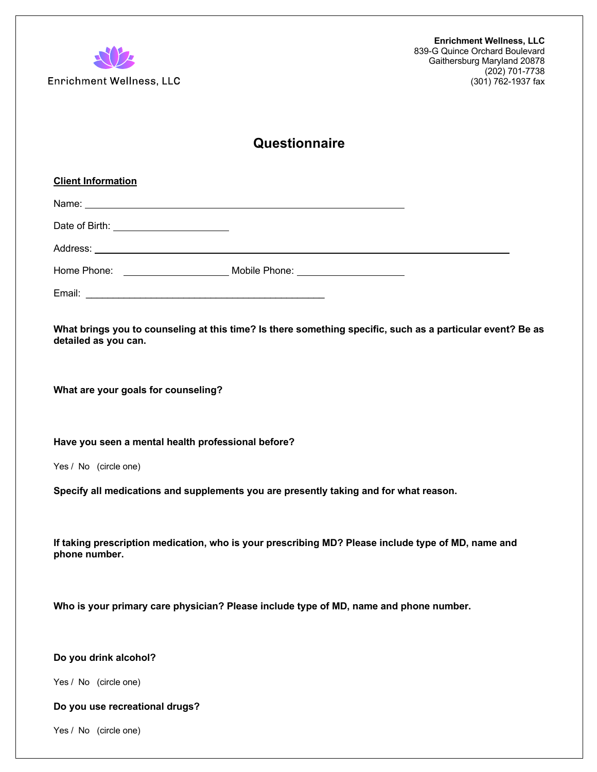

Enrichment Wellness, LLC

# **Questionnaire**

| <b>Client Information</b>                                                                                                          |  |
|------------------------------------------------------------------------------------------------------------------------------------|--|
|                                                                                                                                    |  |
| Date of Birth: <u>_______________________</u>                                                                                      |  |
|                                                                                                                                    |  |
|                                                                                                                                    |  |
|                                                                                                                                    |  |
| What brings you to counseling at this time? Is there something specific, such as a particular event? Be as<br>detailed as you can. |  |
| What are your goals for counseling?                                                                                                |  |
| Have you seen a mental health professional before?                                                                                 |  |
| Yes / No (circle one)                                                                                                              |  |
| Specify all medications and supplements you are presently taking and for what reason.                                              |  |
| If taking prescription medication, who is your prescribing MD? Please include type of MD, name and<br>phone number.                |  |
| Who is your primary care physician? Please include type of MD, name and phone number.                                              |  |
| Do you drink alcohol?                                                                                                              |  |
| Yes / No (circle one)                                                                                                              |  |
| Do you use recreational drugs?                                                                                                     |  |
| Yes / No (circle one)                                                                                                              |  |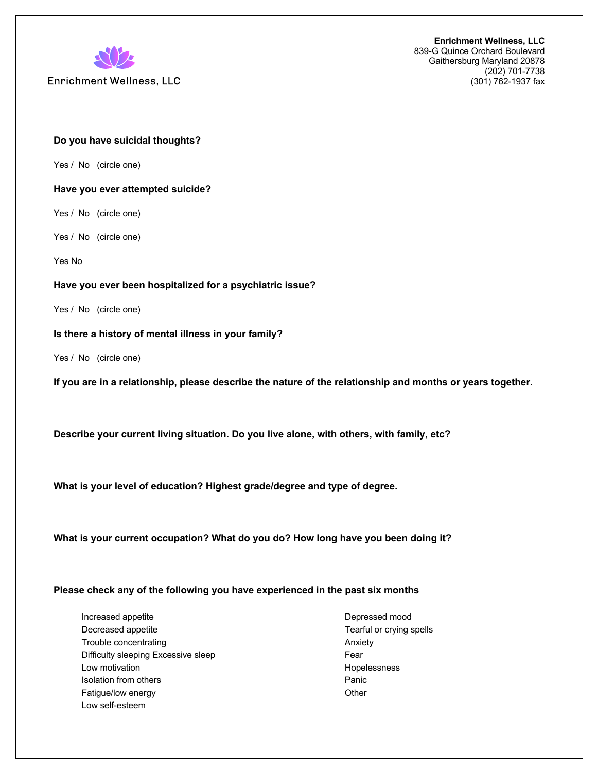

**Enrichment Wellness, LLC** 

**Enrichment Wellness, LLC** 839-G Quince Orchard Boulevard Gaithersburg Maryland 20878 (202) 701-7738 (301) 762-1937 fax

### **Do you have suicidal thoughts?**

Yes / No (circle one)

#### **Have you ever attempted suicide?**

Yes / No (circle one)

Yes / No (circle one)

Yes No

#### **Have you ever been hospitalized for a psychiatric issue?**

Yes / No (circle one)

### **Is there a history of mental illness in your family?**

Yes / No (circle one)

**If you are in a relationship, please describe the nature of the relationship and months or years together.** 

**Describe your current living situation. Do you live alone, with others, with family, etc?**

**What is your level of education? Highest grade/degree and type of degree.** 

**What is your current occupation? What do you do? How long have you been doing it?** 

## **Please check any of the following you have experienced in the past six months**

 Increased appetite Decreased appetite Trouble concentrating Difficulty sleeping Excessive sleep Low motivation Isolation from others Fatigue/low energy Low self-esteem

 Depressed mood Tearful or crying spells Anxiety Fear Hopelessness Panic **Other**